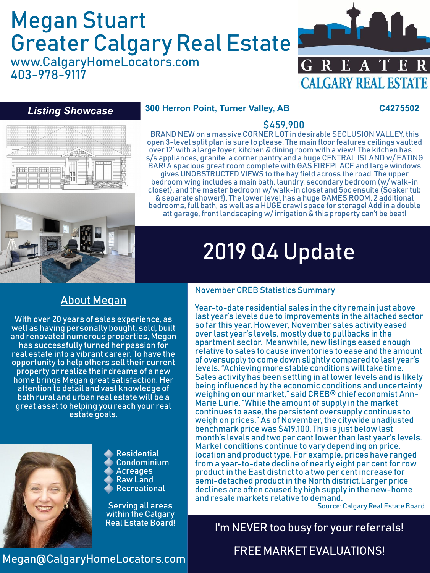# Megan Stuart Greater Calgary Real Estate

www.CalgaryHomeLocators.com 403-978-9117



#### *Listing Showcase*

#### **300 Herron Point, Turner Valley, AB C4275502**



s/s appliances, granite, a corner pantry and a huge CENTRAL ISLAND w/ EATING BAR! A spacious great room complete with GAS FIREPLACE and large windows gives UNOBSTRUCTED VIEWS to the hay field across the road. The upper bedroom wing includes a main bath, laundry, secondary bedroom (w/ walk-in closet), and the master bedroom w/ walk-in closet and 5pc ensuite (Soaker tub & separate shower!). The lower level has a huge GAMES ROOM, 2 additional bedrooms, full bath, as well as a HUGE crawl space for storage! Add in a double att garage, front landscaping w/ irrigation & this property can't be beat!

\$459,900 BRAND NEW on a massive CORNER LOT in desirable SECLUSION VALLEY, this open 3-level split plan is sure to please. The main floor features ceilings vaulted over 12' with a large foyer, kitchen & dining room with a view! The kitchen has



# 2019 Q4 Update

### About Megan

With over 20 years of sales experience, as well as having personally bought, sold, built and renovated numerous properties, Megan has successfully turned her passion for real estate into a vibrant career. To have the opportunity to help others sell their current property or realize their dreams of a new home brings Megan great satisfaction. Her attention to detail and vast knowledge of both rural and urban real estate will be a great asset to helping you reach your real estate goals.



Residential Condominium Acreages Raw Land Recreational

Serving all areas within the Calgary

#### November CREB Statistics Summary

Year-to-date residential sales in the city remain just above last year's levels due to improvements in the attached sector so far this year. However, November sales activity eased over last year's levels, mostly due to pullbacks in the apartment sector. Meanwhile, new listings eased enough relative to sales to cause inventories to ease and the amount of oversupply to come down slightly compared to last year's levels. "Achieving more stable conditions will take time. Sales activity has been settling in at lower levels and is likely being influenced by the economic conditions and uncertainty weighing on our market," said CREB® chief economist Ann-Marie Lurie. "While the amount of supply in the market continues to ease, the persistent oversupply continues to weigh on prices." As of November, the citywide unadjusted benchmark price was \$419,100. This is just below last month's levels and two per cent lower than last year's levels. Market conditions continue to vary depending on price, location and product type. For example, prices have ranged from a year-to-date decline of nearly eight per cent for row product in the East district to a two per cent increase for semi-detached product in the North district.Larger price declines are often caused by high supply in the new-home and resale markets relative to demand.

Source: Calgary Real Estate Board

## I'm NEVER too busy for your referrals!

### FREE MARKET EVALUATIONS!

#### Megan@CalgaryHomeLocators.com